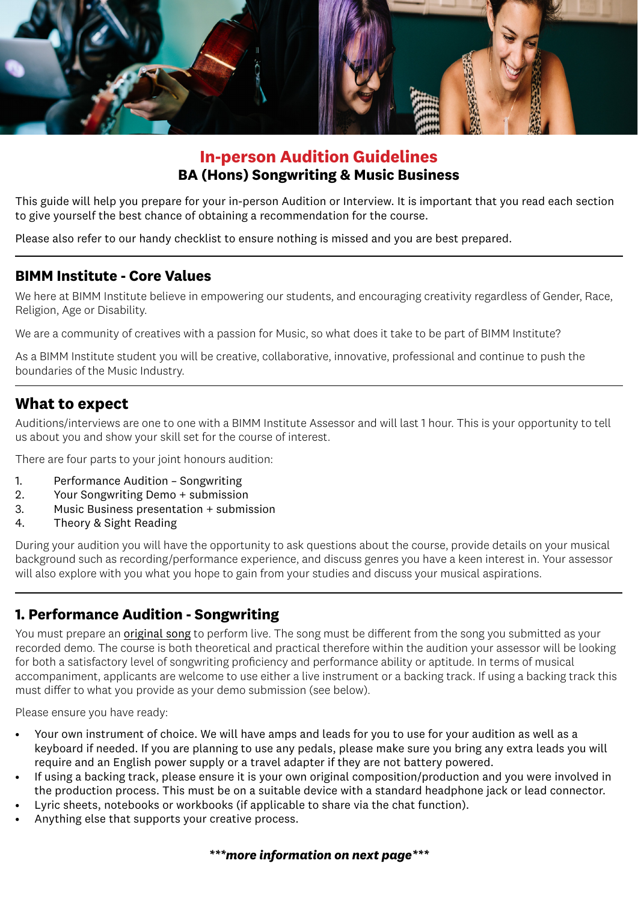

# **In-person Audition Guidelines BA (Hons) Songwriting & Music Business**

This guide will help you prepare for your in-person Audition or Interview. It is important that you read each section to give yourself the best chance of obtaining a recommendation for the course.

Please also refer to our handy checklist to ensure nothing is missed and you are best prepared.

### **BIMM Institute - Core Values**

We here at BIMM Institute believe in empowering our students, and encouraging creativity regardless of Gender, Race, Religion, Age or Disability.

We are a community of creatives with a passion for Music, so what does it take to be part of BIMM Institute?

As a BIMM Institute student you will be creative, collaborative, innovative, professional and continue to push the boundaries of the Music Industry.

# **What to expect**

Auditions/interviews are one to one with a BIMM Institute Assessor and will last 1 hour. This is your opportunity to tell us about you and show your skill set for the course of interest.

There are four parts to your joint honours audition:

- 1. Performance Audition Songwriting
- 2. Your Songwriting Demo + submission
- 3. Music Business presentation + submission
- 4. Theory & Sight Reading

During your audition you will have the opportunity to ask questions about the course, provide details on your musical background such as recording/performance experience, and discuss genres you have a keen interest in. Your assessor will also explore with you what you hope to gain from your studies and discuss your musical aspirations.

# **1. Performance Audition - Songwriting**

You must prepare an original song to perform live. The song must be different from the song you submitted as your recorded demo. The course is both theoretical and practical therefore within the audition your assessor will be looking for both a satisfactory level of songwriting proficiency and performance ability or aptitude. In terms of musical accompaniment, applicants are welcome to use either a live instrument or a backing track. If using a backing track this must differ to what you provide as your demo submission (see below).

Please ensure you have ready:

- Your own instrument of choice. We will have amps and leads for you to use for your audition as well as a keyboard if needed. If you are planning to use any pedals, please make sure you bring any extra leads you will require and an English power supply or a travel adapter if they are not battery powered.
- If using a backing track, please ensure it is your own original composition/production and you were involved in the production process. This must be on a suitable device with a standard headphone jack or lead connector.
- Lyric sheets, notebooks or workbooks (if applicable to share via the chat function).
- Anything else that supports your creative process.

#### *\*\*\*more information on next page\*\*\**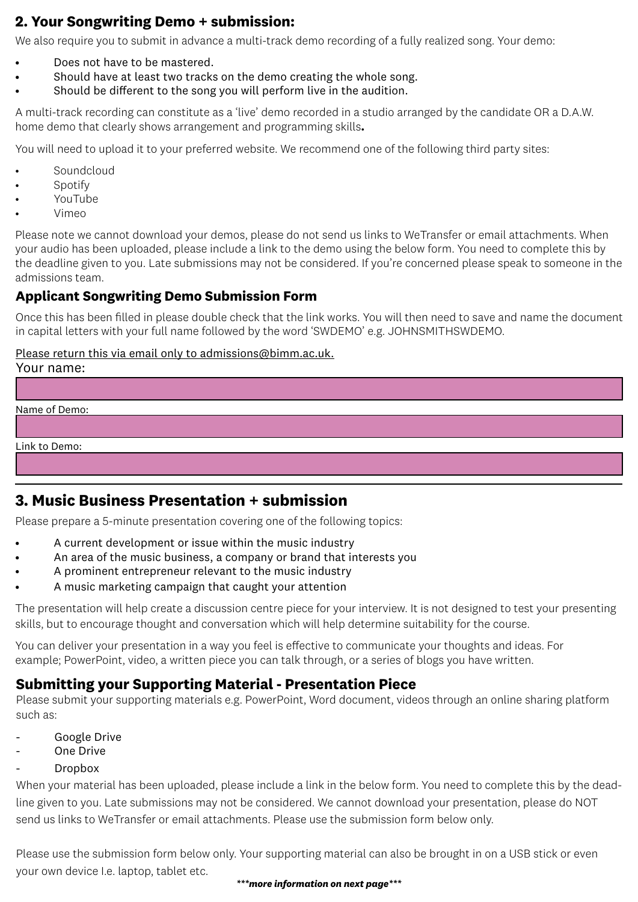# **2. Your Songwriting Demo + submission:**

We also require you to submit in advance a multi-track demo recording of a fully realized song. Your demo:

- Does not have to be mastered.
- Should have at least two tracks on the demo creating the whole song.
- Should be different to the song you will perform live in the audition.

A multi-track recording can constitute as a 'live' demo recorded in a studio arranged by the candidate OR a D.A.W. home demo that clearly shows arrangement and programming skills**.**

You will need to upload it to your preferred website. We recommend one of the following third party sites:

- **Soundcloud**
- **Spotify**
- YouTube
- Vimeo

Please note we cannot download your demos, please do not send us links to WeTransfer or email attachments. When your audio has been uploaded, please include a link to the demo using the below form. You need to complete this by the deadline given to you. Late submissions may not be considered. If you're concerned please speak to someone in the admissions team.

### **Applicant Songwriting Demo Submission Form**

Once this has been filled in please double check that the link works. You will then need to save and name the document in capital letters with your full name followed by the word 'SWDEMO' e.g. JOHNSMITHSWDEMO.

#### Please return this via email only to admissions@bimm.ac.uk.

### **3. Music Business Presentation + submission**

Please prepare a 5-minute presentation covering one of the following topics:

- A current development or issue within the music industry
- An area of the music business, a company or brand that interests you
- A prominent entrepreneur relevant to the music industry
- A music marketing campaign that caught your attention

The presentation will help create a discussion centre piece for your interview. It is not designed to test your presenting skills, but to encourage thought and conversation which will help determine suitability for the course.

You can deliver your presentation in a way you feel is effective to communicate your thoughts and ideas. For example; PowerPoint, video, a written piece you can talk through, or a series of blogs you have written.

### **Submitting your Supporting Material - Presentation Piece**

Please submit your supporting materials e.g. PowerPoint, Word document, videos through an online sharing platform such as:

- Google Drive
- One Drive
- **Dropbox**

When your material has been uploaded, please include a link in the below form. You need to complete this by the deadline given to you. Late submissions may not be considered. We cannot download your presentation, please do NOT send us links to WeTransfer or email attachments. Please use the submission form below only.

Please use the submission form below only. Your supporting material can also be brought in on a USB stick or even your own device I.e. laptop, tablet etc.